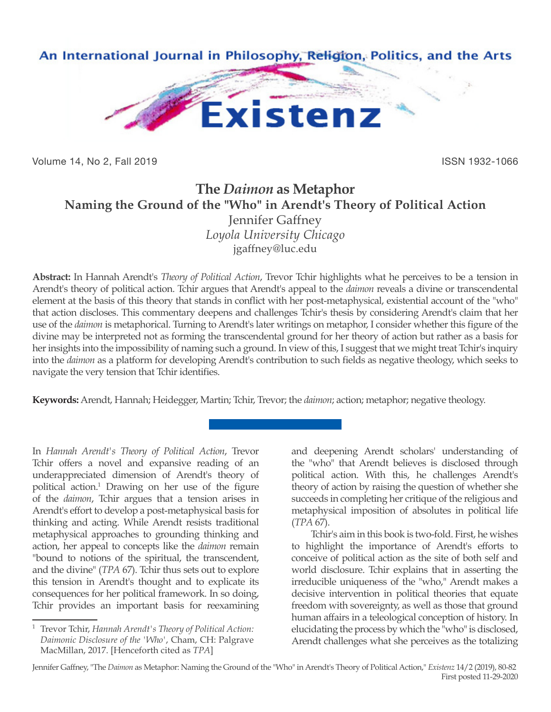

Volume 14, No 2, Fall 2019 ISSN 1932-1066

## **The** *Daimon* **as Metaphor Naming the Ground of the "Who" in Arendt's Theory of Political Action** Jennifer Gaffney *Loyola University Chicago* jgaffney@luc.edu

**Abstract:** In Hannah Arendt's *Theory of Political Action*, Trevor Tchir highlights what he perceives to be a tension in Arendt's theory of political action. Tchir argues that Arendt's appeal to the *daimon* reveals a divine or transcendental element at the basis of this theory that stands in conflict with her post-metaphysical, existential account of the "who" that action discloses. This commentary deepens and challenges Tchir's thesis by considering Arendt's claim that her use of the *daimon* is metaphorical. Turning to Arendt's later writings on metaphor, I consider whether this figure of the divine may be interpreted not as forming the transcendental ground for her theory of action but rather as a basis for her insights into the impossibility of naming such a ground. In view of this, I suggest that we might treat Tchir's inquiry into the *daimon* as a platform for developing Arendt's contribution to such fields as negative theology, which seeks to navigate the very tension that Tchir identifies.

**Keywords:** Arendt, Hannah; Heidegger, Martin; Tchir, Trevor; the *daimon*; action; metaphor; negative theology.

In *Hannah Arendt's Theory of Political Action*, Trevor Tchir offers a novel and expansive reading of an underappreciated dimension of Arendt's theory of political action.1 Drawing on her use of the figure of the *daimon*, Tchir argues that a tension arises in Arendt's effort to develop a post-metaphysical basis for thinking and acting. While Arendt resists traditional metaphysical approaches to grounding thinking and action, her appeal to concepts like the *daimon* remain "bound to notions of the spiritual, the transcendent, and the divine" (*TPA* 67). Tchir thus sets out to explore this tension in Arendt's thought and to explicate its consequences for her political framework. In so doing, Tchir provides an important basis for reexamining

and deepening Arendt scholars' understanding of the "who" that Arendt believes is disclosed through political action. With this, he challenges Arendt's theory of action by raising the question of whether she succeeds in completing her critique of the religious and metaphysical imposition of absolutes in political life (*TPA* 67).

Tchir's aim in this book is two-fold. First, he wishes to highlight the importance of Arendt's efforts to conceive of political action as the site of both self and world disclosure. Tchir explains that in asserting the irreducible uniqueness of the "who," Arendt makes a decisive intervention in political theories that equate freedom with sovereignty, as well as those that ground human affairs in a teleological conception of history. In elucidating the process by which the "who" is disclosed, Arendt challenges what she perceives as the totalizing

Jennifer Gaffney, "The *Daimon* as Metaphor: Naming the Ground of the "Who" in Arendt's Theory of Political Action," *Existenz* 14/2 (2019), 80-82 First posted 11-29-2020

<sup>1</sup> Trevor Tchir, *Hannah Arendt's Theory of Political Action: Daimonic Disclosure of the 'Who'*, Cham, CH: Palgrave MacMillan, 2017. [Henceforth cited as *TPA*]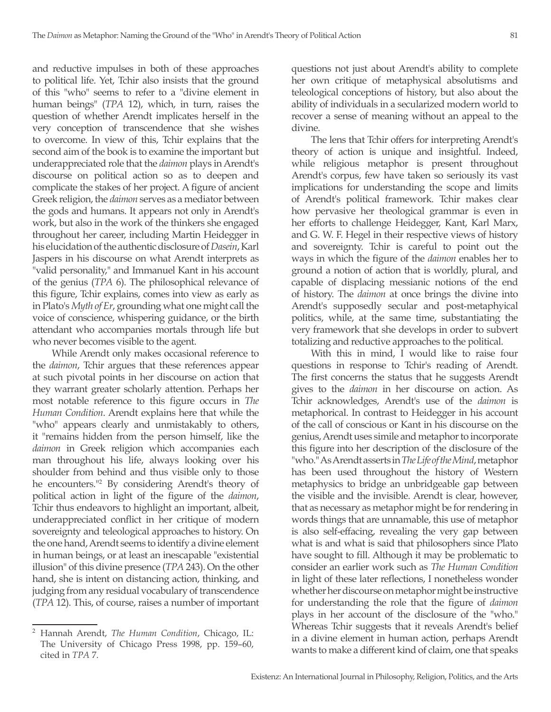and reductive impulses in both of these approaches to political life. Yet, Tchir also insists that the ground of this "who" seems to refer to a "divine element in human beings" (*TPA* 12), which, in turn, raises the question of whether Arendt implicates herself in the very conception of transcendence that she wishes to overcome. In view of this, Tchir explains that the second aim of the book is to examine the important but underappreciated role that the *daimon* plays in Arendt's discourse on political action so as to deepen and complicate the stakes of her project. A figure of ancient Greek religion, the *daimon* serves as a mediator between the gods and humans. It appears not only in Arendt's

work, but also in the work of the thinkers she engaged throughout her career, including Martin Heidegger in his elucidation of the authentic disclosure of *Dasein*, Karl Jaspers in his discourse on what Arendt interprets as "valid personality," and Immanuel Kant in his account of the genius (*TPA* 6). The philosophical relevance of this figure, Tchir explains, comes into view as early as in Plato's *Myth of Er*, grounding what one might call the voice of conscience, whispering guidance, or the birth attendant who accompanies mortals through life but who never becomes visible to the agent.

While Arendt only makes occasional reference to the *daimon*, Tchir argues that these references appear at such pivotal points in her discourse on action that they warrant greater scholarly attention. Perhaps her most notable reference to this figure occurs in *The Human Condition*. Arendt explains here that while the "who" appears clearly and unmistakably to others, it "remains hidden from the person himself, like the *daimon* in Greek religion which accompanies each man throughout his life, always looking over his shoulder from behind and thus visible only to those he encounters."<sup>2</sup> By considering Arendt's theory of political action in light of the figure of the *daimon*, Tchir thus endeavors to highlight an important, albeit, underappreciated conflict in her critique of modern sovereignty and teleological approaches to history. On the one hand, Arendt seems to identify a divine element in human beings, or at least an inescapable "existential illusion" of this divine presence (*TPA* 243). On the other hand, she is intent on distancing action, thinking, and judging from any residual vocabulary of transcendence (*TPA* 12). This, of course, raises a number of important

questions not just about Arendt's ability to complete her own critique of metaphysical absolutisms and teleological conceptions of history, but also about the ability of individuals in a secularized modern world to recover a sense of meaning without an appeal to the divine.

The lens that Tchir offers for interpreting Arendt's theory of action is unique and insightful. Indeed, while religious metaphor is present throughout Arendt's corpus, few have taken so seriously its vast implications for understanding the scope and limits of Arendt's political framework. Tchir makes clear how pervasive her theological grammar is even in her efforts to challenge Heidegger, Kant, Karl Marx, and G. W. F. Hegel in their respective views of history and sovereignty. Tchir is careful to point out the ways in which the figure of the *daimon* enables her to ground a notion of action that is worldly, plural, and capable of displacing messianic notions of the end of history. The *daimon* at once brings the divine into Arendt's supposedly secular and post-metaphyical politics, while, at the same time, substantiating the very framework that she develops in order to subvert totalizing and reductive approaches to the political.

With this in mind, I would like to raise four questions in response to Tchir's reading of Arendt. The first concerns the status that he suggests Arendt gives to the *daimon* in her discourse on action. As Tchir acknowledges, Arendt's use of the *daimon* is metaphorical. In contrast to Heidegger in his account of the call of conscious or Kant in his discourse on the genius, Arendt uses simile and metaphor to incorporate this figure into her description of the disclosure of the "who." As Arendt asserts in *The Life of the Mind*, metaphor has been used throughout the history of Western metaphysics to bridge an unbridgeable gap between the visible and the invisible. Arendt is clear, however, that as necessary as metaphor might be for rendering in words things that are unnamable, this use of metaphor is also self-effacing, revealing the very gap between what is and what is said that philosophers since Plato have sought to fill. Although it may be problematic to consider an earlier work such as *The Human Condition* in light of these later reflections, I nonetheless wonder whether her discourse on metaphor might be instructive for understanding the role that the figure of *daimon* plays in her account of the disclosure of the "who." Whereas Tchir suggests that it reveals Arendt's belief in a divine element in human action, perhaps Arendt wants to make a different kind of claim, one that speaks

<sup>2</sup> Hannah Arendt, *The Human Condition*, Chicago, IL: The University of Chicago Press 1998, pp. 159–60, cited in *TPA* 7.